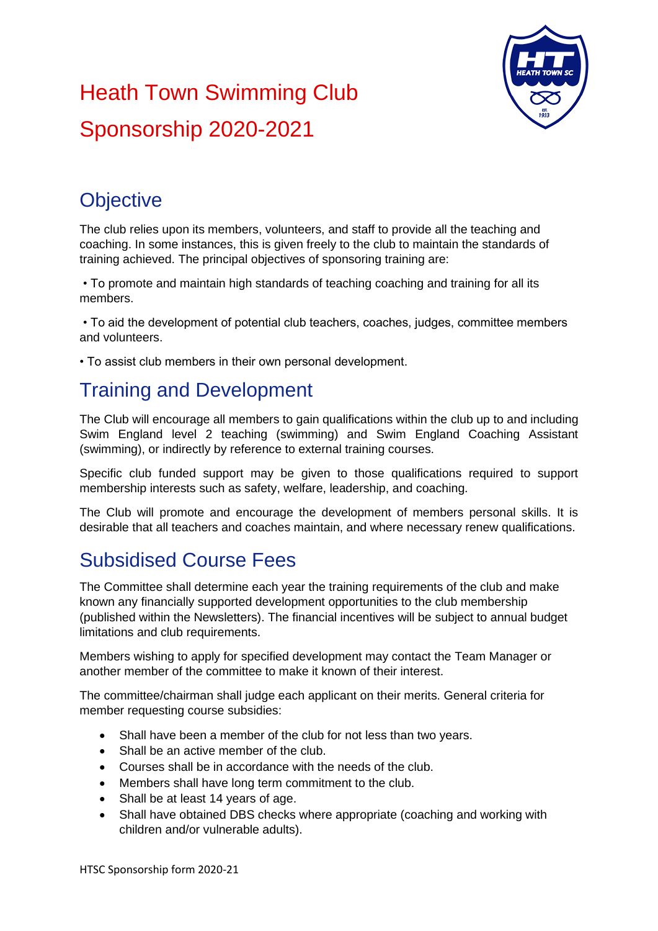## Heath Town Swimming Club Sponsorship 2020-2021



## **Objective**

The club relies upon its members, volunteers, and staff to provide all the teaching and coaching. In some instances, this is given freely to the club to maintain the standards of training achieved. The principal objectives of sponsoring training are:

• To promote and maintain high standards of teaching coaching and training for all its members.

• To aid the development of potential club teachers, coaches, judges, committee members and volunteers.

• To assist club members in their own personal development.

## Training and Development

The Club will encourage all members to gain qualifications within the club up to and including Swim England level 2 teaching (swimming) and Swim England Coaching Assistant (swimming), or indirectly by reference to external training courses.

Specific club funded support may be given to those qualifications required to support membership interests such as safety, welfare, leadership, and coaching.

The Club will promote and encourage the development of members personal skills. It is desirable that all teachers and coaches maintain, and where necessary renew qualifications.

## Subsidised Course Fees

The Committee shall determine each year the training requirements of the club and make known any financially supported development opportunities to the club membership (published within the Newsletters). The financial incentives will be subject to annual budget limitations and club requirements.

Members wishing to apply for specified development may contact the Team Manager or another member of the committee to make it known of their interest.

The committee/chairman shall judge each applicant on their merits. General criteria for member requesting course subsidies:

- Shall have been a member of the club for not less than two years.
- Shall be an active member of the club.
- Courses shall be in accordance with the needs of the club.
- Members shall have long term commitment to the club.
- Shall be at least 14 years of age.
- Shall have obtained DBS checks where appropriate (coaching and working with children and/or vulnerable adults).